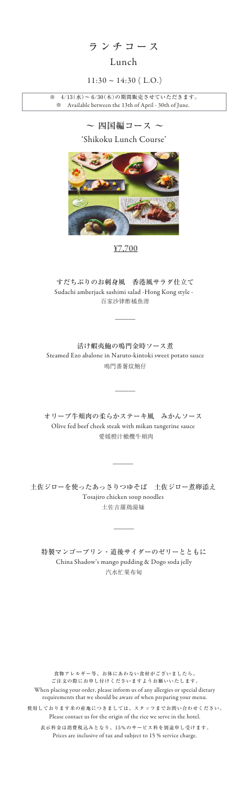ランチコース

#### Lunch

#### $11:30 \sim 14:30$  (L.O.)

'Shikoku Lunch Course'

¥7,700

百家沙律酢橘魚滑 Sudachi amberjack sashimi salad -Hong Kong style - すだちぶりのお刺身風 香港風サラダ仕立て

 $\overline{\phantom{a}}$ 

鳴門番薯炆鮑仔 活け蝦夷鮑の鳴門金時ソース煮 Steamed Ezo abalone in Naruto-kintoki sweet potato sauce

 $\overline{\phantom{a}}$ 

愛媛橙汁橄欖牛頬肉 オリーブ牛頬肉の柔らかステーキ風 みかんソース Olive fed beef cheek steak with mikan tangerine sauce

土佐吉羅鶏湯麺 土佐ジローを使ったあっさりつゆそば 土佐ジロー煮卵添え Tosajiro chicken soup noodles

 $\overline{\phantom{a}}$ 

 $\overline{\phantom{a}}$ 

食物アレルギー等、お体にあわない食材がございましたら、 ご注文の際にお申し付けくださいますようお願いいたします。 When placing your order, please inform us of any allergies or special dietary requirements that we should be aware of when preparing your menu.

Prices are inclusive of tax and subject to 15 % service charge.

表示料金は消費税込みとなり、15%のサービス料を別途申し受けます。 使用しております米の産地につきましては、スタッフまでお問い合わせください。 Please contact us for the origin of the rice we serve in the hotel.



汽水忙果布甸 特製マンゴープリン・道後サイダーのゼリーとともに China Shadow's mango pudding & Dogo soda jelly

※ 4/13(水)~ 6/30(木)の期間販売させていただきます。 ※ Available between the 13th of April - 30th of June.

 $\sim$  四国編コース  $\sim$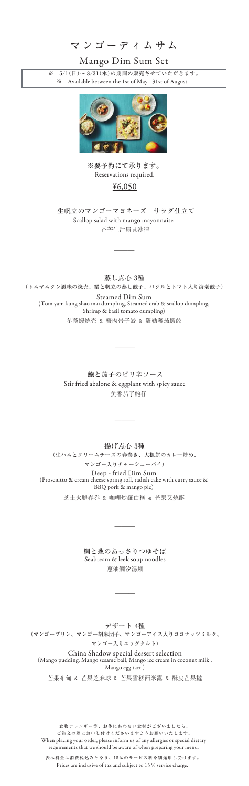食物アレルギー等、お体にあわない食材がございましたら、 ご注文の際にお申し付けくださいますようお願いいたします。 When placing your order, please inform us of any allergies or special dietary requirements that we should be aware of when preparing your menu. 表示料金は消費税込みとなり、15%のサービス料を別途申し受けます。

Prices are inclusive of tax and subject to 15 % service charge.

マンゴーディムサム

### Mango Dim Sum Set

¥6,050

香芒生汁扇貝沙律 Scallop salad with mango mayonnaise 生帆立のマンゴーマヨネーズ サラダ仕立て

 $\overline{\phantom{a}}$ 

 魚香茄子鮑仔 鮑と茄子のピリ辛ソース Stir fried abalone & eggplant with spicy sauce

 $\overline{\phantom{a}}$ 

蔥油鯛汐湯麺 鯛と葱のあっさりつゆそば Seabream & leek soup noodles

 $\overline{\phantom{a}}$ 

 $\overline{\phantom{a}}$ 

※要予約にて承ります。 Reservations required.

蒸し点心 3種 (トムヤムクン風味の焼売、蟹と帆立の蒸し餃子、バジルとトマト入り海老餃子)

冬蔭蝦焼売 & 蟹肉帯子餃 & 羅勒蕃茄蝦餃 Steamed Dim Sum (Tom yam kung shao mai dumpling, Steamed crab & scallop dumpling, Shrimp & basil tomato dumpling)

 $\overline{\phantom{a}}$ 

芝士火腿春巻 & 咖哩炒羅白糕 & 芒果又焼酥 揚げ点心 3種 (生ハムとクリームチーズの春巻き、大根餅のカレー炒め、 マンゴー入りチャーシューパイ) Deep - fried Dim Sum (Prosciutto & cream cheese spring roll, radish cake with curry sauce & BBQ pork & mango pie)

芒果布甸 & 芒果芝麻球 & 芒果雪糕西米露 & 酥皮芒果撻

#### デザート 4種

(マンゴープリン、マンゴー胡麻団子、マンゴーアイス入りココナッツミルク、

マンゴー入りエッグタルト)

China Shadow special dessert selection (Mango pudding, Mango sesame ball, Mango ice cream in coconut milk , Mango egg tart )

※ 5/1(日)~ 8/31(水)の期間の販売させていただきます。 ※ Available between the 1st of May - 31st of August.

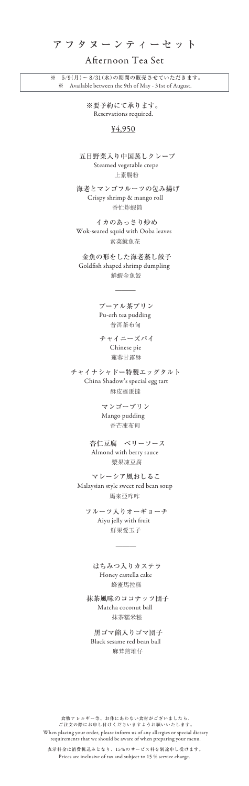食物アレルギー等、お体にあわない食材がございましたら、 ご注文の際にお申し付けくださいますようお願いいたします。 When placing your order, please inform us of any allergies or special dietary requirements that we should be aware of when preparing your menu. 表示料金は消費税込みとなり、15%のサービス料を別途申し受けます。

※要予約にて承ります。 Reservations required.

Prices are inclusive of tax and subject to 15 % service charge.

## アフタヌーンティーセット

#### Afternoon Tea Set

#### ¥4,950

上素腸粉 Steamed vegetable crepe 五目野菜入り中国蒸しクレープ

香忙炸蝦筒 Crispy shrimp & mango roll 海老とマンゴフルーツの包み揚げ

素菜魷魚花 Wok-seared squid with Ooba leaves イカのあっさり炒め

※ 5/9(月)~ 8/31(水)の期間の販売させていただきます。 Available between the 9th of May - 31st of August.

> 鮮蝦金魚餃 Goldfish shaped shrimp dumpling 金魚の形をした海老蒸し餃子

> > $\overline{\phantom{a}}$

普洱茶布甸 Pu-erh tea pudding プーアル茶プリン

蓮蓉甘露酥 Chinese pie チャイニーズパイ

酥皮雞蛋撻 China Shadow's special egg tart チャイナシャドー特製エッグタルト

> 香芒凍布甸 Mango pudding マンゴープリン

漿果凍豆腐 Almond with berry sauce 杏仁豆腐 ベリーソース

馬來亞咋咋 Malaysian style sweet red bean soup マレーシア風おしるこ

鮮果愛玉子 Aiyu jelly with fruit フルーツ入りオーギョーチ

 $\overline{\phantom{a}}$ 

蜂蜜馬拉糕 Honey castella cake はちみつ入りカステラ

抹茶糯米糍 Matcha coconut ball 抹茶風味のココナッツ団子

麻茸煎堆仔 Black sesame red bean ball 黒ゴマ餡入りゴマ団子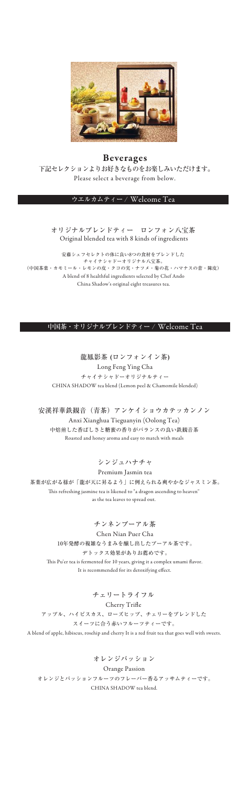Long Feng Ying Cha チャイナシャドーオリジナルティー 龍鳳影茶 (ロンフォンイン茶) CHINA SHADOW tea blend (Lemon peel & Chamomile blended)

Anxi Xianghua Tieguanyin (Oolong Tea) 中焙煎した香ばしさと糖蜜の香りがバランスの良い鉄観音茶 安溪祥華鉄観音(青茶)アンケイショウカテッカンノン Roasted and honey aroma and easy to match with meals

Chen Nian Puer Cha 10年発酵の複雑なうまみを醸し出したプーアル茶です。 デトックス効果がありお薦めです。 This Pu'er tea is fermented for 10 years, giving it a complex umami flavor. It is recommended for its detoxifying effect.

安藤シェフセレクトの体に良い8つの食材をブレンドした チャイナシャドーオリジナル八宝茶。 (中国茶葉・カモミール・レモンの皮・クコの実・ナツメ・菊の花・ハマナスの蕾・陳皮) A blend of 8 healthful ingredients selected by Chef Ando China Shadow's original eight treasures tea.

> Cherry Trifle チェリートライフル

#### シンジュハナチャ

Premium Jasmin tea 茶葉が広がる様が「龍が天に昇るよう」に例えられる爽やかなジャスミン茶。 This refreshing jasmine tea is likened to "a dragon ascending to heaven" as the tea leaves to spread out.

#### チンネンプーアル茶

アップル、ハイビスカス、ローズヒップ、チェリーをブレンドした スイーツに合う赤いフルーツティーです。

A blend of apple, hibiscus, rosehip and cherry It is a red fruit tea that goes well with sweets.

Orange Passion

オレンジとパッションフルーツのフレーバー香るアッサムティーです。 CHINA SHADOW tea blend.

#### オレンジパッション

#### オリジナルブレンドティー ロンフォン八宝茶 Original blended tea with 8 kinds of ingredients

#### ウエルカムティー / Welcome Tea

#### 中国茶・オリジナルブレンドティー / Welcome Tea



#### Beverages 下記セレクションよりお好きなものをお楽しみいただけます。 Please select a beverage from below.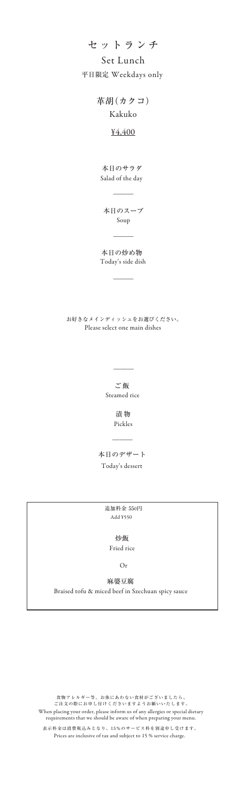## セットランチ

#### ¥4,400

Kakuko 革胡(カクコ)

Salad of the day 本日のサラダ

> Pickles 漬 物

 $\overline{\phantom{a}}$ 

Steamed rice ご飯

 $\overline{\phantom{a}}$ 

本日のスープ Soup

 $\overline{\phantom{a}}$ 

 $\overline{\phantom{a}}$ 

Today's dessert 本日のデザート

本日の炒め物 Today's side dish

 $\overline{\phantom{a}}$ 

## Set Lunch 平日限定 Weekdays only

Please select one main dishes お好きなメインディッシュをお選びください。

Braised tofu & miced beef in Szechuan spicy sauce 麻婆豆腐

Fried rice 炒飯

Or

Add ¥550 追加料金 550円

食物アレルギー等、お体にあわない食材がございましたら、 ご注文の際にお申し付けくださいますようお願いいたします。

When placing your order, please inform us of any allergies or special dietary requirements that we should be aware of when preparing your menu.

表示料金は消費税込みとなり、15%のサービス料を別途申し受けます。

Prices are inclusive of tax and subject to 15 % service charge.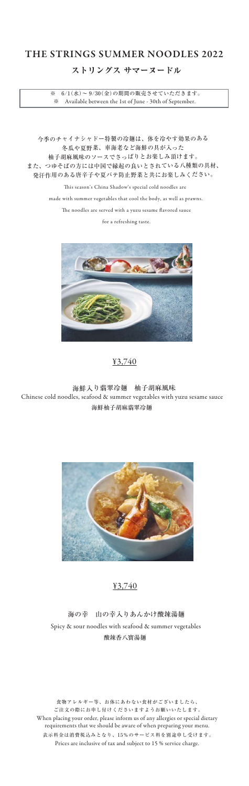## ストリングス サマーヌードル

# THE STRINGS SUMMER NOODLES 2022



今季のチャイナシャドー特製の冷麺は、体を冷やす効果のある 冬瓜や夏野菜、車海老など海鮮の具が入った 柚子胡麻風味のソースでさっぱりとお楽しみ頂けます。 また、つゆそばの方には中国で縁起の良いとされている八種類の具材、 発汗作用のある唐辛子や夏バテ防止野菜と共にお楽しみください。

> This season's China Shadow's special cold noodles are made with summer vegetables that cool the body, as well as prawns.

The noodles are served with a yuzu sesame flavored sauce

for a refreshing taste.

海鮮柚子胡麻翡翠冷麺 Chinese cold noodles, seafood & summer vegetables with yuzu sesame sauce 海鮮入り翡翠冷麺 柚子胡麻風味



## 酸辣香八寶湯麺 Spicy & sour noodles with seafood & summer vegetables 海の幸 山の幸入りあんかけ酸辣湯麺

食物アレルギー等、お体にあわない食材がございましたら、 ご注文の際にお申し付けくださいますようお願いいたします。 When placing your order, please inform us of any allergies or special dietary requirements that we should be aware of when preparing your menu. 表示料金は消費税込みとなり、15%のサービス料を別途申し受けます。 Prices are inclusive of tax and subject to 15 % service charge.

※ 6/1(水)~ 9/30(金)の期間の販売させていただきます。 ※ Available between the 1st of June - 30th of September.

### ¥3,740

¥3,740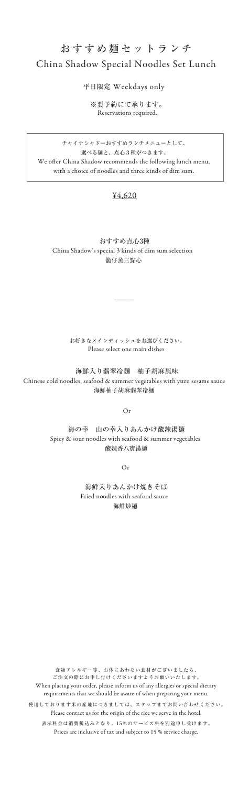海鮮柚子胡麻翡翠冷麺 Chinese cold noodles, seafood & summer vegetables with yuzu sesame sauce 海鮮入り翡翠冷麺 柚子胡麻風味

食物アレルギー等、お体にあわない食材がございましたら、 ご注文の際にお申し付けくださいますようお願いいたします。 When placing your order, please inform us of any allergies or special dietary requirements that we should be aware of when preparing your menu. 表示料金は消費税込みとなり、15%のサービス料を別途申し受けます。 Prices are inclusive of tax and subject to 15 % service charge. 使用しております米の産地につきましては、スタッフまでお問い合わせください。 Please contact us for the origin of the rice we serve in the hotel.

We offer China Shadow recommends the following lunch menu, with a choice of noodles and three kinds of dim sum. チャイナシャドーおすすめランチメニューとして、 選べる麺と、点心3種がつきます。

籠仔蒸三點心 China Shadow's special 3 kinds of dim sum selection おすすめ点心3種

 $\overline{\phantom{a}}$ 

# おすすめ麺セットランチ China Shadow Special Noodles Set Lunch

#### ¥4,620

Or

Please select one main dishes お好きなメインディッシュをお選びください。

酸辣香八寶湯麺 Spicy & sour noodles with seafood & summer vegetables 海の幸 山の幸入りあんかけ酸辣湯麺

Or

海鮮炒麺 Fried noodles with seafood sauce 海鮮入りあんかけ焼きそば

平日限定 Weekdays only

※要予約にて承ります。 Reservations required.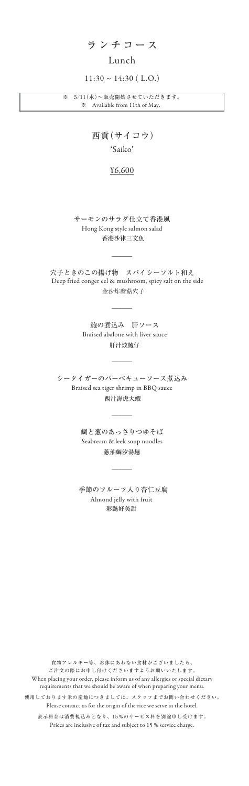## ランチコース

## Lunch

 $11:30 \sim 14:30$  (L.O.)

'Saiko'

## 西貢(サイコウ)

### ¥6,600

香港沙律三文魚 Hong Kong style salmon salad サーモンのサラダ仕立て香港風

 $\overline{\phantom{a}}$ 

\_\_\_

肝汁炆鮑仔 鮑の煮込み 肝ソース Braised abalone with liver sauce

金沙炸麿菇穴子 穴子ときのこの揚げ物 スパイシーソルト和え Deep fried conger eel & mushroom, spicy salt on the side

> 蔥油鯛汐湯麺 鯛と葱のあっさりつゆそば Seabream & leek soup noodles

> > $\overline{\phantom{a}}$

西汁海虎大蝦 シータイガーのバーベキューソース煮込み Braised sea tiger shrimp in BBQ sauce

 $\overline{\phantom{a}}$ 

 $\overline{\phantom{a}}$ 

彩艶好美甜 季節のフルーツ入り杏仁豆腐 Almond jelly with fruit

食物アレルギー等、お体にあわない食材がございましたら、 ご注文の際にお申し付けくださいますようお願いいたします。 When placing your order, please inform us of any allergies or special dietary requirements that we should be aware of when preparing your menu.

表示料金は消費税込みとなり、15%のサービス料を別途申し受けます。 Prices are inclusive of tax and subject to 15 % service charge.

使用しております米の産地につきましては、スタッフまでお問い合わせください。 Please contact us for the origin of the rice we serve in the hotel.

※ 5/11(水)~販売開始させていただきます。 ※ Available from 11th of May.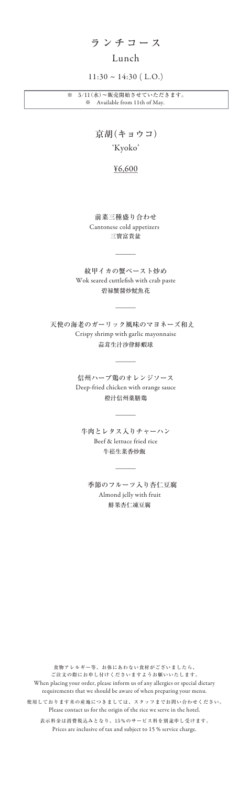ランチコース

### Lunch

#### $11:30 \sim 14:30$  (L.O.)

'Kyoko'

## 京胡(キョウコ)

### ¥6,600

三寶富貴盆 Cantonese cold appetizers 前菜三種盛り合わせ

碧禄蟹醤炒魷魚花 紋甲イカの蟹ペースト炒め Wok seared cuttlefish with crab paste

 $\overline{\phantom{a}}$ 

 $\overline{\phantom{a}}$ 

蒜茸生汁沙律鮮蝦球 天使の海老のガーリック風味のマヨネーズ和え Crispy shrimp with garlic mayonnaise

> 橙汁信州薬膳鶏 信州ハーブ鶏のオレンジソース Deep-fried chicken with orange sauce

> > $\overline{\phantom{a}}$

 $\overline{\phantom{a}}$ 

牛崧生菜香炒飯 牛肉とレタス入りチャーハン Beef & lettuce fried rice

 $\overline{\phantom{a}}$ 

鮮果杏仁凍豆腐 季節のフルーツ入り杏仁豆腐 Almond jelly with fruit

食物アレルギー等、お体にあわない食材がございましたら、 ご注文の際にお申し付けくださいますようお願いいたします。 When placing your order, please inform us of any allergies or special dietary requirements that we should be aware of when preparing your menu. 表示料金は消費税込みとなり、15%のサービス料を別途申し受けます。 Prices are inclusive of tax and subject to 15 % service charge. 使用しております米の産地につきましては、スタッフまでお問い合わせください。 Please contact us for the origin of the rice we serve in the hotel.

※ 5/11(水)~販売開始させていただきます。 ※ Available from 11th of May.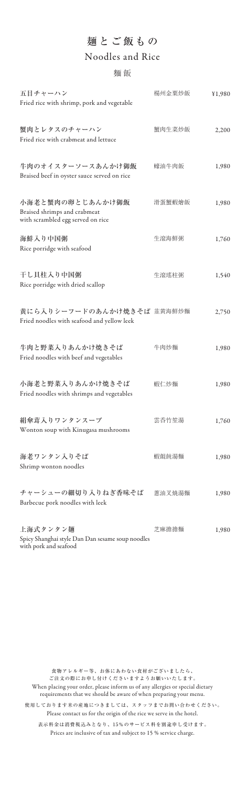| 五目チャーハン<br>Fried rice with shrimp, pork and vegetable                                 | 楊州金粟炒飯 | ¥1,980 |
|---------------------------------------------------------------------------------------|--------|--------|
| 蟹肉とレタスのチャーハン<br>Fried rice with crabmeat and lettuce                                  | 蟹肉生菜炒飯 | 2,200  |
| 牛肉のオイスターソースあんかけ御飯<br>Braised beef in oyster sauce served on rice                      | 蠔油牛肉飯  | 1,980  |
| 小海老と蟹肉の卵とじあんかけ御飯<br>Braised shrimps and crabmeat<br>with scrambled egg served on rice | 滑蛋蟹蝦燴飯 | 1,980  |
| 海鮮入り中国粥<br>Rice porridge with seafood                                                 | 生滾海鮮粥  | 1,760  |
| 干し貝柱入り中国粥<br>Rice porridge with dried scallop                                         | 生滾瑤柱粥  | 1,540  |
| 黄にら入りシーフードのあんかけ焼きそば 韮黄海鮮炒麵<br>Fried noodles with seafood and yellow leek              |        | 2,750  |
| 牛肉と野菜入りあんかけ焼きそば<br>Fried noodles with beef and vegetables                             | 牛肉炒麵   | 1,980  |
| 小海老と野菜入りあんかけ焼きそば<br>Fried noodles with shrimps and vegetables                         | 蝦仁炒麵   | 1,980  |
| 絹傘茸入りワンタンスープ<br>Wonton soup with Kinugasa mushrooms                                   | 雲呑竹笙湯  | 1,760  |
| 海老ワンタン入りそば<br>Shrimp wonton noodles                                                   | 蝦餛飩湯麵  | 1,980  |
| チャーシューの細切り入りねぎ香味そば<br>Barbecue pork noodles with leek                                 | 蔥油叉焼湯麵 | 1,980  |
| 上海式タンタン麺<br>Spicy Shanghai style Dan Dan sesame soup noodles<br>with pork and seafood | 芝麻擔擔麵  | 1,980  |

#### 麵 飯

# 麺とご飯もの Noodles and Rice

食物アレルギー等、お体にあわない食材がございましたら、 ご注文の際にお申し付けくださいますようお願いいたします。 When placing your order, please inform us of any allergies or special dietary requirements that we should be aware of when preparing your menu. 表示料金は消費税込みとなり、15%のサービス料を別途申し受けます。 Prices are inclusive of tax and subject to 15 % service charge. 使用しております米の産地につきましては、スタッフまでお問い合わせください。 Please contact us for the origin of the rice we serve in the hotel.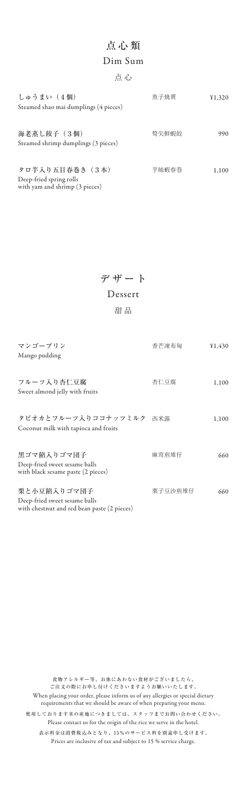| しゅうまい (4個)<br>Steamed shao mai dumplings (4 pieces)                          | 魚子焼賣  | ¥1,320 |
|------------------------------------------------------------------------------|-------|--------|
| 海老蒸し餃子 (3個)<br>Steamed shrimp dumplings (3 pieces)                           | 筍尖鮮蝦餃 | 990    |
| タロ芋入り五目春巻き (3本)<br>Deep-fried spring rolls<br>with yam and shrimp (3 pieces) | 芋絲蝦春巻 | 1,100  |

# 点心類

```
点 心
```
## Dim Sum

| マンゴープリン                                                             | 香芒凍布甸   | 430   |
|---------------------------------------------------------------------|---------|-------|
| Mango pudding                                                       |         |       |
|                                                                     |         |       |
| フルーツ入り杏仁豆腐                                                          | 杏仁豆腐    | 1,100 |
| Sweet almond jelly with fruits                                      |         |       |
|                                                                     |         |       |
| タピオカとフルーツ入りココナッツミルク                                                 | 西米露     | 1,100 |
| Coconut milk with tapioca and fruits                                |         |       |
| 黒ゴマ餡入りゴマ団子                                                          | 麻茸煎堆仔   | 660   |
| Deep-fried sweet sesame balls<br>with black sesame paste (2 pieces) |         |       |
| 栗と小豆餡入りゴマ団子                                                         | 栗子豆沙煎堆仔 | 660   |
| Deep-fried sweet sesame balls                                       |         |       |
| with chestnut and red bean paste (2 pieces)                         |         |       |

デザート

甜 品

#### Dessert

食物アレルギー等、お体にあわない食材がございましたら、 ご注文の際にお申し付けくださいますようお願いいたします。

When placing your order, please inform us of any allergies or special dietary requirements that we should be aware of when preparing your menu.

表示料金は消費税込みとなり、15%のサービス料を別途申し受けます。 Prices are inclusive of tax and subject to 15 % service charge.

使用しております米の産地につきましては、スタッフまでお問い合わせください。 Please contact us for the origin of the rice we serve in the hotel.